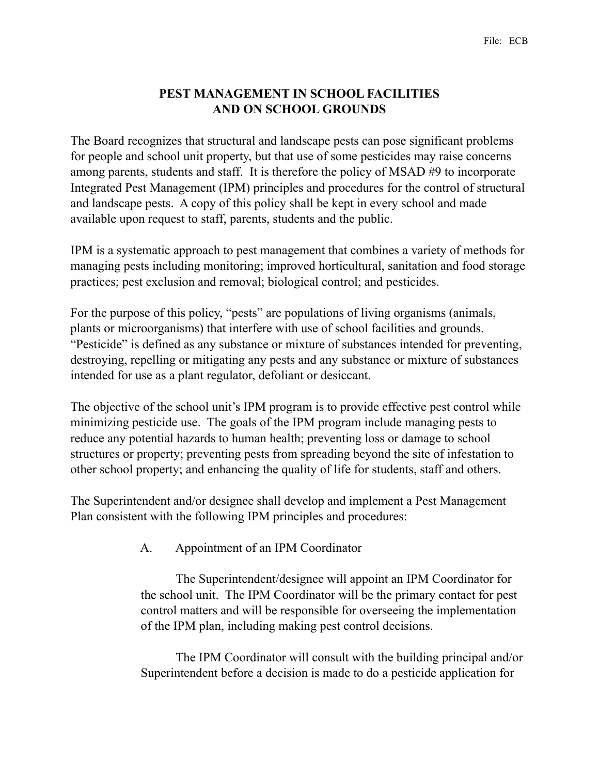# **PEST MANAGEMENT IN SCHOOL FACILITIES AND ON SCHOOL GROUNDS**

The Board recognizes that structural and landscape pests can pose significant problems for people and school unit property, but that use of some pesticides may raise concerns among parents, students and staff. It is therefore the policy of MSAD #9 to incorporate Integrated Pest Management (IPM) principles and procedures for the control of structural and landscape pests. A copy of this policy shall be kept in every school and made available upon request to staff, parents, students and the public.

IPM is a systematic approach to pest management that combines a variety of methods for managing pests including monitoring; improved horticultural, sanitation and food storage practices; pest exclusion and removal; biological control; and pesticides.

For the purpose of this policy, "pests" are populations of living organisms (animals, plants or microorganisms) that interfere with use of school facilities and grounds. "Pesticide" is defined as any substance or mixture of substances intended for preventing, destroying, repelling or mitigating any pests and any substance or mixture of substances intended for use as a plant regulator, defoliant or desiccant.

The objective of the school unit's IPM program is to provide effective pest control while minimizing pesticide use. The goals of the IPM program include managing pests to reduce any potential hazards to human health; preventing loss or damage to school structures or property; preventing pests from spreading beyond the site of infestation to other school property; and enhancing the quality of life for students, staff and others.

The Superintendent and/or designee shall develop and implement a Pest Management Plan consistent with the following IPM principles and procedures:

## A. Appointment of an IPM Coordinator

 The Superintendent/designee will appoint an IPM Coordinator for the school unit. The IPM Coordinator will be the primary contact for pest control matters and will be responsible for overseeing the implementation of the IPM plan, including making pest control decisions.

 The IPM Coordinator will consult with the building principal and/or Superintendent before a decision is made to do a pesticide application for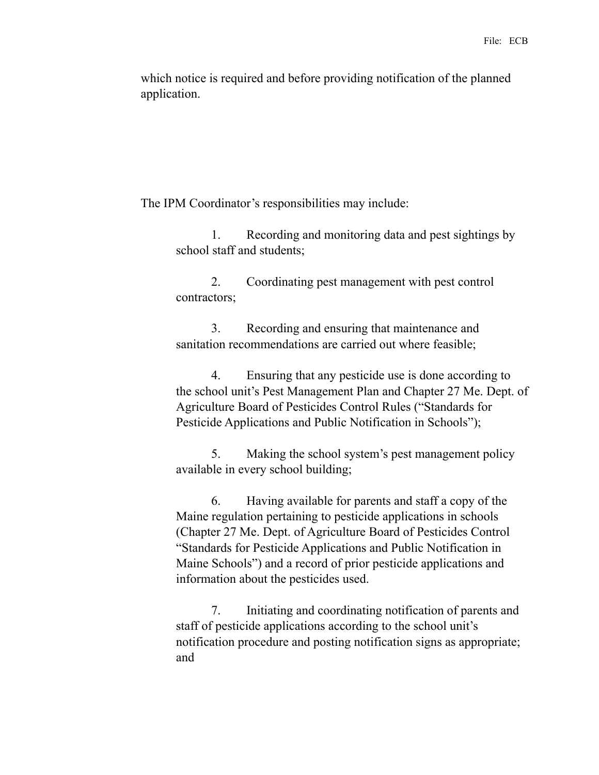which notice is required and before providing notification of the planned application.

The IPM Coordinator's responsibilities may include:

 1. Recording and monitoring data and pest sightings by school staff and students;

 2. Coordinating pest management with pest control contractors;

 3. Recording and ensuring that maintenance and sanitation recommendations are carried out where feasible;

 4. Ensuring that any pesticide use is done according to the school unit's Pest Management Plan and Chapter 27 Me. Dept. of Agriculture Board of Pesticides Control Rules ("Standards for Pesticide Applications and Public Notification in Schools");

 5. Making the school system's pest management policy available in every school building;

 6. Having available for parents and staff a copy of the Maine regulation pertaining to pesticide applications in schools (Chapter 27 Me. Dept. of Agriculture Board of Pesticides Control "Standards for Pesticide Applications and Public Notification in Maine Schools") and a record of prior pesticide applications and information about the pesticides used.

 7. Initiating and coordinating notification of parents and staff of pesticide applications according to the school unit's notification procedure and posting notification signs as appropriate; and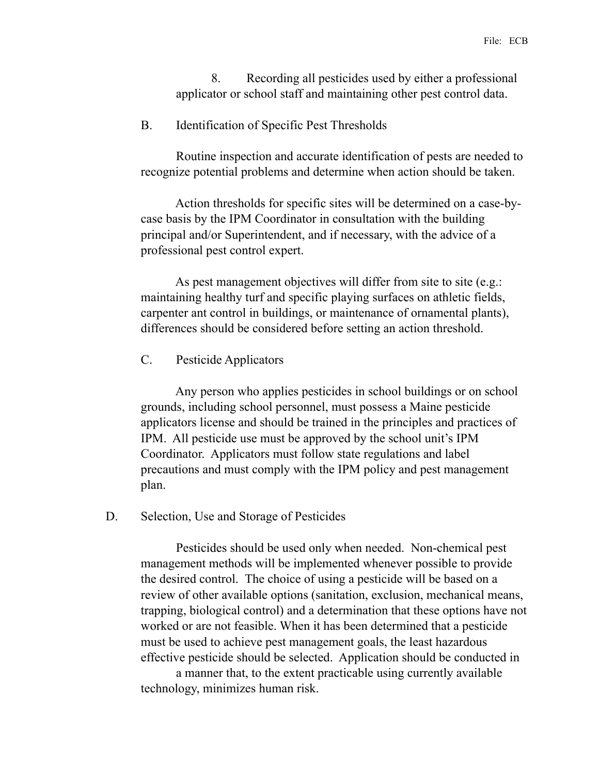8. Recording all pesticides used by either a professional applicator or school staff and maintaining other pest control data.

#### B. Identification of Specific Pest Thresholds

 Routine inspection and accurate identification of pests are needed to recognize potential problems and determine when action should be taken.

 Action thresholds for specific sites will be determined on a case-bycase basis by the IPM Coordinator in consultation with the building principal and/or Superintendent, and if necessary, with the advice of a professional pest control expert.

As pest management objectives will differ from site to site (e.g.: maintaining healthy turf and specific playing surfaces on athletic fields, carpenter ant control in buildings, or maintenance of ornamental plants), differences should be considered before setting an action threshold.

### C. Pesticide Applicators

 Any person who applies pesticides in school buildings or on school grounds, including school personnel, must possess a Maine pesticide applicators license and should be trained in the principles and practices of IPM. All pesticide use must be approved by the school unit's IPM Coordinator. Applicators must follow state regulations and label precautions and must comply with the IPM policy and pest management plan.

#### D. Selection, Use and Storage of Pesticides

 Pesticides should be used only when needed. Non-chemical pest management methods will be implemented whenever possible to provide the desired control. The choice of using a pesticide will be based on a review of other available options (sanitation, exclusion, mechanical means, trapping, biological control) and a determination that these options have not worked or are not feasible. When it has been determined that a pesticide must be used to achieve pest management goals, the least hazardous effective pesticide should be selected. Application should be conducted in

 a manner that, to the extent practicable using currently available technology, minimizes human risk.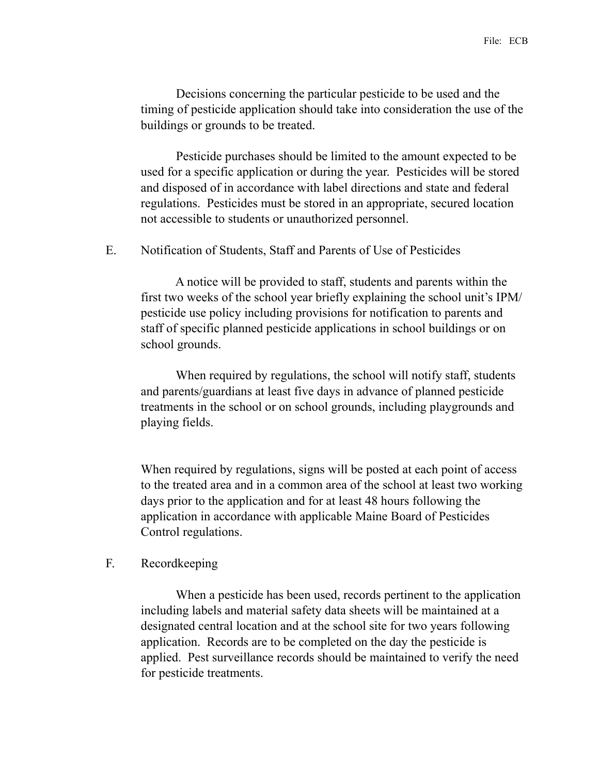Decisions concerning the particular pesticide to be used and the timing of pesticide application should take into consideration the use of the buildings or grounds to be treated.

 Pesticide purchases should be limited to the amount expected to be used for a specific application or during the year. Pesticides will be stored and disposed of in accordance with label directions and state and federal regulations. Pesticides must be stored in an appropriate, secured location not accessible to students or unauthorized personnel.

#### E. Notification of Students, Staff and Parents of Use of Pesticides

 A notice will be provided to staff, students and parents within the first two weeks of the school year briefly explaining the school unit's IPM/ pesticide use policy including provisions for notification to parents and staff of specific planned pesticide applications in school buildings or on school grounds.

 When required by regulations, the school will notify staff, students and parents/guardians at least five days in advance of planned pesticide treatments in the school or on school grounds, including playgrounds and playing fields.

When required by regulations, signs will be posted at each point of access to the treated area and in a common area of the school at least two working days prior to the application and for at least 48 hours following the application in accordance with applicable Maine Board of Pesticides Control regulations.

### F. Recordkeeping

 When a pesticide has been used, records pertinent to the application including labels and material safety data sheets will be maintained at a designated central location and at the school site for two years following application. Records are to be completed on the day the pesticide is applied. Pest surveillance records should be maintained to verify the need for pesticide treatments.